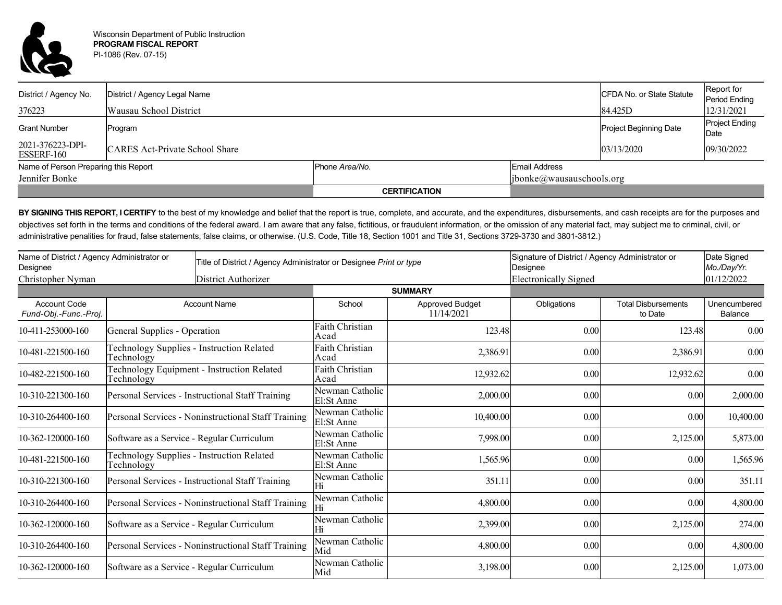

| District / Agency No.                | District / Agency Legal Name          |                      |               | CFDA No. or State Statute     | Report for<br>Period Ending   |  |
|--------------------------------------|---------------------------------------|----------------------|---------------|-------------------------------|-------------------------------|--|
| 376223                               | Wausau School District                |                      |               | 84.425D                       | 12/31/2021                    |  |
| <b>Grant Number</b>                  | Program                               |                      |               | <b>Project Beginning Date</b> | <b>Project Ending</b><br>Date |  |
| 2021-376223-DPI-<br>ESSERF-160       | <b>CARES Act-Private School Share</b> |                      |               | 03/13/2020                    | 09/30/2022                    |  |
| Name of Person Preparing this Report |                                       | Phone Area/No.       | Email Address |                               |                               |  |
| Jennifer Bonke                       |                                       |                      |               | [ibonke@wausauschools.org]    |                               |  |
|                                      |                                       | <b>CERTIFICATION</b> |               |                               |                               |  |

BY SIGNING THIS REPORT, I CERTIFY to the best of my knowledge and belief that the report is true, complete, and accurate, and the expenditures, disbursements, and cash receipts are for the purposes and objectives set forth in the terms and conditions of the federal award. I am aware that any false, fictitious, or fraudulent information, or the omission of any material fact, may subject me to criminal, civil, or administrative penalities for fraud, false statements, false claims, or otherwise. (U.S. Code, Title 18, Section 1001 and Title 31, Sections 3729-3730 and 3801-3812.)

| Name of District / Agency Administrator or<br>Designee |                                                                 | Title of District / Agency Administrator or Designee Print or type |                               |                                      | Signature of District / Agency Administrator or<br>Designee |                                       | Date Signed<br>Mo./Day/Yr. |
|--------------------------------------------------------|-----------------------------------------------------------------|--------------------------------------------------------------------|-------------------------------|--------------------------------------|-------------------------------------------------------------|---------------------------------------|----------------------------|
| Christopher Nyman<br>District Authorizer               |                                                                 |                                                                    |                               |                                      | <b>Electronically Signed</b>                                |                                       | 01/12/2022                 |
|                                                        |                                                                 |                                                                    |                               | <b>SUMMARY</b>                       |                                                             |                                       |                            |
| <b>Account Code</b><br>Fund-Obj.-Func.-Proj.           | <b>Account Name</b>                                             |                                                                    | School                        | <b>Approved Budget</b><br>11/14/2021 | Obligations                                                 | <b>Total Disbursements</b><br>to Date | Unencumbered<br>Balance    |
| 10-411-253000-160                                      | General Supplies - Operation                                    |                                                                    | Faith Christian<br>Acad       | 123.48                               | 0.00                                                        | 123.48                                | 0.00                       |
| 10-481-221500-160                                      | Technology Supplies - Instruction Related<br>Technology         |                                                                    | Faith Christian<br>Acad       | 2,386.91                             | 0.00                                                        | 2,386.91                              | 0.00                       |
| 10-482-221500-160                                      | <b>Technology Equipment - Instruction Related</b><br>Technology |                                                                    | Faith Christian<br>Acad       | 12,932.62                            | 0.00                                                        | 12,932.62                             | 0.00                       |
| 10-310-221300-160                                      | Personal Services - Instructional Staff Training                |                                                                    | Newman Catholic<br>El:St Anne | 2,000.00                             | 0.00                                                        | 0.00                                  | 2,000.00                   |
| 10-310-264400-160                                      | Personal Services - Noninstructional Staff Training             |                                                                    | Newman Catholic<br>El:St Anne | 10,400.00                            | 0.00                                                        | 0.00                                  | 10,400.00                  |
| 10-362-120000-160                                      | Software as a Service - Regular Curriculum                      |                                                                    | Newman Catholic<br>El:St Anne | 7,998.00                             | 0.00                                                        | 2,125.00                              | 5,873.00                   |
| 10-481-221500-160                                      | Technology Supplies - Instruction Related<br>Technology         |                                                                    | Newman Catholic<br>El:St Anne | 1,565.96                             | 0.00                                                        | 0.00                                  | 1,565.96                   |
| 10-310-221300-160                                      | Personal Services - Instructional Staff Training                |                                                                    | Newman Catholic<br>Hi         | 351.11                               | 0.00                                                        | 0.00                                  | 351.11                     |
| 10-310-264400-160                                      | Personal Services - Noninstructional Staff Training             |                                                                    | Newman Catholic               | 4,800.00                             | 0.00                                                        | 0.00                                  | 4,800.00                   |
| 10-362-120000-160                                      | Software as a Service - Regular Curriculum                      |                                                                    | Newman Catholic<br>Hi         | 2,399.00                             | 0.00                                                        | 2,125.00                              | 274.00                     |
| 10-310-264400-160                                      | Personal Services - Noninstructional Staff Training             |                                                                    | Newman Catholic<br>Mid        | 4,800.00                             | 0.00                                                        | 0.00                                  | 4,800.00                   |
| 10-362-120000-160                                      | Software as a Service - Regular Curriculum                      |                                                                    | Newman Catholic<br>Mid        | 3,198.00                             | 0.00                                                        | 2,125.00                              | 1,073.00                   |